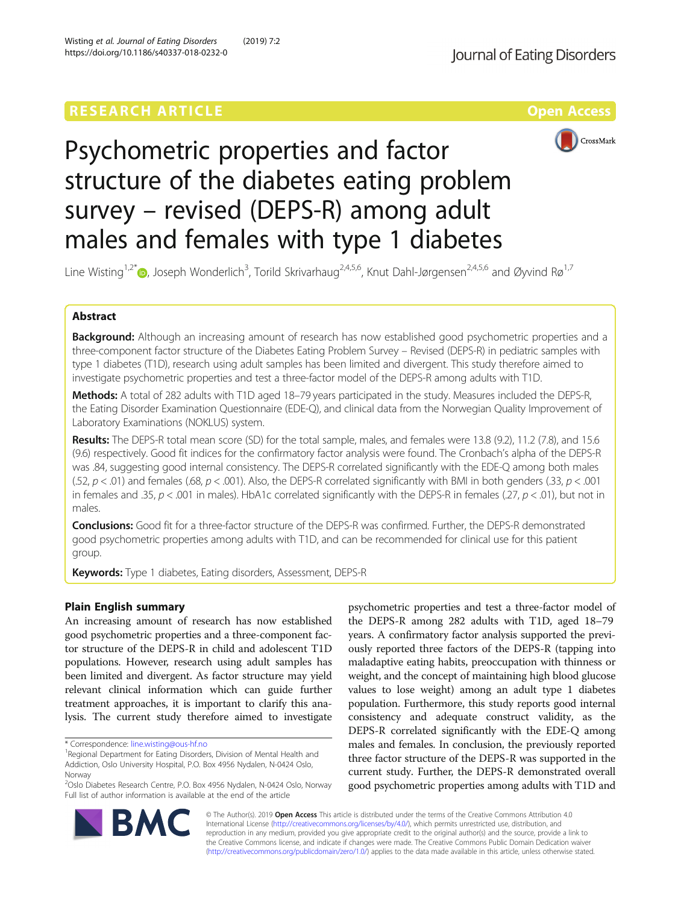# **RESEARCH ARTICLE External Structure Control Control Control Control Control Control Control Control Control Control Control Control Control Control Control Control Control Control Control Control Control Control Control**





# Psychometric properties and factor structure of the diabetes eating problem survey – revised (DEPS-R) among adult males and females with type 1 diabetes

Line Wisting<sup>1[,](http://orcid.org/0000-0002-5424-7290)2\*</sup>®, Joseph Wonderlich<sup>3</sup>, Torild Skrivarhaug<sup>2,4,5,6</sup>, Knut Dahl-Jørgensen<sup>2,4,5,6</sup> and Øyvind Rø<sup>1,7</sup>

# Abstract

Background: Although an increasing amount of research has now established good psychometric properties and a three-component factor structure of the Diabetes Eating Problem Survey – Revised (DEPS-R) in pediatric samples with type 1 diabetes (T1D), research using adult samples has been limited and divergent. This study therefore aimed to investigate psychometric properties and test a three-factor model of the DEPS-R among adults with T1D.

Methods: A total of 282 adults with T1D aged 18–79 years participated in the study. Measures included the DEPS-R, the Eating Disorder Examination Questionnaire (EDE-Q), and clinical data from the Norwegian Quality Improvement of Laboratory Examinations (NOKLUS) system.

Results: The DEPS-R total mean score (SD) for the total sample, males, and females were 13.8 (9.2), 11.2 (7.8), and 15.6 (9.6) respectively. Good fit indices for the confirmatory factor analysis were found. The Cronbach's alpha of the DEPS-R was .84, suggesting good internal consistency. The DEPS-R correlated significantly with the EDE-Q among both males (.52,  $p < .01$ ) and females (.68,  $p < .001$ ). Also, the DEPS-R correlated significantly with BMI in both genders (.33,  $p < .001$ ) in females and .35,  $p < 0.001$  in males). HbA1c correlated significantly with the DEPS-R in females (.27,  $p < 0.01$ ), but not in males.

**Conclusions:** Good fit for a three-factor structure of the DEPS-R was confirmed. Further, the DEPS-R demonstrated good psychometric properties among adults with T1D, and can be recommended for clinical use for this patient group.

Keywords: Type 1 diabetes, Eating disorders, Assessment, DEPS-R

# Plain English summary

An increasing amount of research has now established good psychometric properties and a three-component factor structure of the DEPS-R in child and adolescent T1D populations. However, research using adult samples has been limited and divergent. As factor structure may yield relevant clinical information which can guide further treatment approaches, it is important to clarify this analysis. The current study therefore aimed to investigate

psychometric properties and test a three-factor model of the DEPS-R among 282 adults with T1D, aged 18–79 years. A confirmatory factor analysis supported the previously reported three factors of the DEPS-R (tapping into maladaptive eating habits, preoccupation with thinness or weight, and the concept of maintaining high blood glucose values to lose weight) among an adult type 1 diabetes population. Furthermore, this study reports good internal consistency and adequate construct validity, as the DEPS-R correlated significantly with the EDE-Q among males and females. In conclusion, the previously reported three factor structure of the DEPS-R was supported in the current study. Further, the DEPS-R demonstrated overall good psychometric properties among adults with T1D and



© The Author(s). 2019 Open Access This article is distributed under the terms of the Creative Commons Attribution 4.0 International License [\(http://creativecommons.org/licenses/by/4.0/](http://creativecommons.org/licenses/by/4.0/)), which permits unrestricted use, distribution, and reproduction in any medium, provided you give appropriate credit to the original author(s) and the source, provide a link to the Creative Commons license, and indicate if changes were made. The Creative Commons Public Domain Dedication waiver [\(http://creativecommons.org/publicdomain/zero/1.0/](http://creativecommons.org/publicdomain/zero/1.0/)) applies to the data made available in this article, unless otherwise stated.

<sup>\*</sup> Correspondence: [line.wisting@ous-hf.no](mailto:line.wisting@ous-hf.no) <sup>1</sup>

<sup>&</sup>lt;sup>1</sup> Regional Department for Eating Disorders, Division of Mental Health and Addiction, Oslo University Hospital, P.O. Box 4956 Nydalen, N-0424 Oslo, Norway

<sup>&</sup>lt;sup>2</sup>Oslo Diabetes Research Centre, P.O. Box 4956 Nydalen, N-0424 Oslo, Norway Full list of author information is available at the end of the article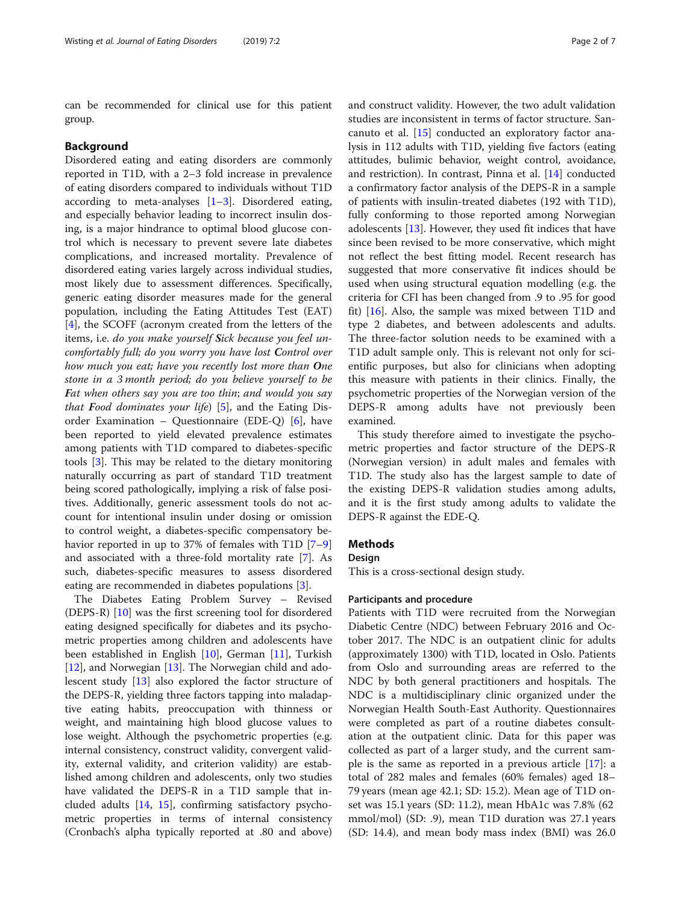can be recommended for clinical use for this patient group.

### Background

Disordered eating and eating disorders are commonly reported in T1D, with a 2–3 fold increase in prevalence of eating disorders compared to individuals without T1D according to meta-analyses [\[1](#page-6-0)–[3](#page-6-0)]. Disordered eating, and especially behavior leading to incorrect insulin dosing, is a major hindrance to optimal blood glucose control which is necessary to prevent severe late diabetes complications, and increased mortality. Prevalence of disordered eating varies largely across individual studies, most likely due to assessment differences. Specifically, generic eating disorder measures made for the general population, including the Eating Attitudes Test (EAT) [[4\]](#page-6-0), the SCOFF (acronym created from the letters of the items, i.e. do you make yourself Sick because you feel uncomfortably full; do you worry you have lost Control over how much you eat; have you recently lost more than One stone in a 3 month period; do you believe yourself to be Fat when others say you are too thin; and would you say that Food dominates your life)  $[5]$  $[5]$ , and the Eating Disorder Examination – Questionnaire (EDE-Q)  $[6]$ , have been reported to yield elevated prevalence estimates among patients with T1D compared to diabetes-specific tools [\[3](#page-6-0)]. This may be related to the dietary monitoring naturally occurring as part of standard T1D treatment being scored pathologically, implying a risk of false positives. Additionally, generic assessment tools do not account for intentional insulin under dosing or omission to control weight, a diabetes-specific compensatory be-havior reported in up to 3[7](#page-6-0)% of females with T1D [7–[9](#page-6-0)] and associated with a three-fold mortality rate [[7\]](#page-6-0). As such, diabetes-specific measures to assess disordered eating are recommended in diabetes populations [\[3](#page-6-0)].

The Diabetes Eating Problem Survey – Revised (DEPS-R) [\[10](#page-6-0)] was the first screening tool for disordered eating designed specifically for diabetes and its psychometric properties among children and adolescents have been established in English [\[10\]](#page-6-0), German [\[11](#page-6-0)], Turkish [[12\]](#page-6-0), and Norwegian [[13](#page-6-0)]. The Norwegian child and adolescent study [[13\]](#page-6-0) also explored the factor structure of the DEPS-R, yielding three factors tapping into maladaptive eating habits, preoccupation with thinness or weight, and maintaining high blood glucose values to lose weight. Although the psychometric properties (e.g. internal consistency, construct validity, convergent validity, external validity, and criterion validity) are established among children and adolescents, only two studies have validated the DEPS-R in a T1D sample that included adults [\[14](#page-6-0), [15](#page-6-0)], confirming satisfactory psychometric properties in terms of internal consistency (Cronbach's alpha typically reported at .80 and above)

and construct validity. However, the two adult validation studies are inconsistent in terms of factor structure. Sancanuto et al. [[15\]](#page-6-0) conducted an exploratory factor analysis in 112 adults with T1D, yielding five factors (eating attitudes, bulimic behavior, weight control, avoidance, and restriction). In contrast, Pinna et al. [\[14](#page-6-0)] conducted a confirmatory factor analysis of the DEPS-R in a sample of patients with insulin-treated diabetes (192 with T1D), fully conforming to those reported among Norwegian adolescents [[13](#page-6-0)]. However, they used fit indices that have since been revised to be more conservative, which might not reflect the best fitting model. Recent research has suggested that more conservative fit indices should be used when using structural equation modelling (e.g. the criteria for CFI has been changed from .9 to .95 for good fit) [\[16](#page-6-0)]. Also, the sample was mixed between T1D and type 2 diabetes, and between adolescents and adults. The three-factor solution needs to be examined with a T1D adult sample only. This is relevant not only for scientific purposes, but also for clinicians when adopting this measure with patients in their clinics. Finally, the psychometric properties of the Norwegian version of the DEPS-R among adults have not previously been examined.

This study therefore aimed to investigate the psychometric properties and factor structure of the DEPS-R (Norwegian version) in adult males and females with T1D. The study also has the largest sample to date of the existing DEPS-R validation studies among adults, and it is the first study among adults to validate the DEPS-R against the EDE-Q.

# Methods

#### Design

This is a cross-sectional design study.

# Participants and procedure

Patients with T1D were recruited from the Norwegian Diabetic Centre (NDC) between February 2016 and October 2017. The NDC is an outpatient clinic for adults (approximately 1300) with T1D, located in Oslo. Patients from Oslo and surrounding areas are referred to the NDC by both general practitioners and hospitals. The NDC is a multidisciplinary clinic organized under the Norwegian Health South-East Authority. Questionnaires were completed as part of a routine diabetes consultation at the outpatient clinic. Data for this paper was collected as part of a larger study, and the current sample is the same as reported in a previous article [\[17\]](#page-6-0): a total of 282 males and females (60% females) aged 18– 79 years (mean age 42.1; SD: 15.2). Mean age of T1D onset was 15.1 years (SD: 11.2), mean HbA1c was 7.8% (62 mmol/mol) (SD: .9), mean T1D duration was 27.1 years (SD: 14.4), and mean body mass index (BMI) was 26.0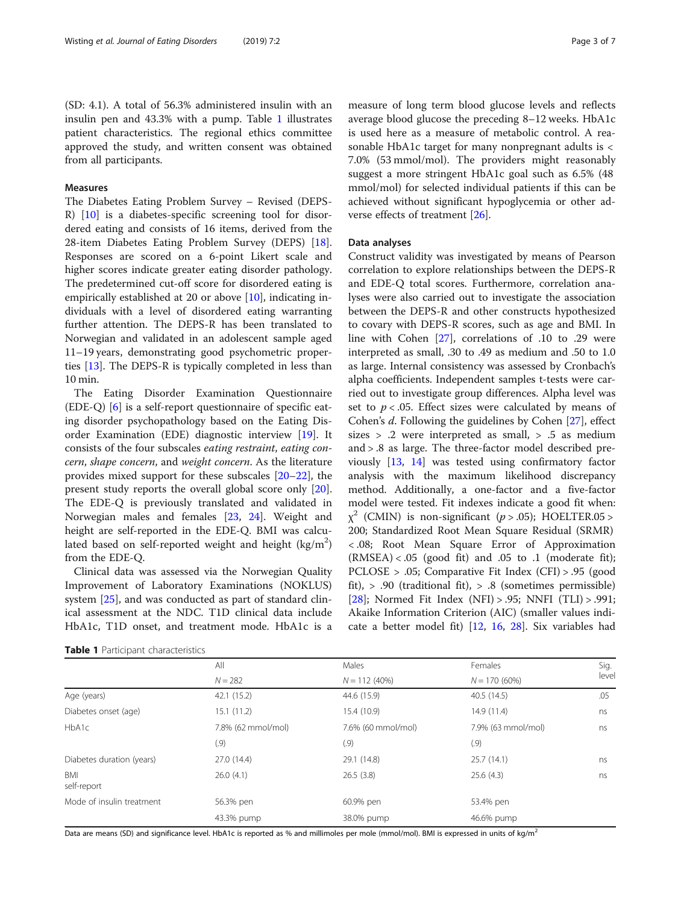(SD: 4.1). A total of 56.3% administered insulin with an insulin pen and 43.3% with a pump. Table 1 illustrates patient characteristics. The regional ethics committee approved the study, and written consent was obtained from all participants.

# Measures

The Diabetes Eating Problem Survey – Revised (DEPS-R) [\[10\]](#page-6-0) is a diabetes-specific screening tool for disordered eating and consists of 16 items, derived from the 28-item Diabetes Eating Problem Survey (DEPS) [\[18](#page-6-0)]. Responses are scored on a 6-point Likert scale and higher scores indicate greater eating disorder pathology. The predetermined cut-off score for disordered eating is empirically established at 20 or above [\[10](#page-6-0)], indicating individuals with a level of disordered eating warranting further attention. The DEPS-R has been translated to Norwegian and validated in an adolescent sample aged 11–19 years, demonstrating good psychometric properties [[13\]](#page-6-0). The DEPS-R is typically completed in less than 10 min.

The Eating Disorder Examination Questionnaire (EDE-Q) [[6\]](#page-6-0) is a self-report questionnaire of specific eating disorder psychopathology based on the Eating Disorder Examination (EDE) diagnostic interview [[19](#page-6-0)]. It consists of the four subscales eating restraint, eating concern, shape concern, and weight concern. As the literature provides mixed support for these subscales [\[20](#page-6-0)–[22\]](#page-6-0), the present study reports the overall global score only [\[20](#page-6-0)]. The EDE-Q is previously translated and validated in Norwegian males and females [\[23,](#page-6-0) [24](#page-6-0)]. Weight and height are self-reported in the EDE-Q. BMI was calculated based on self-reported weight and height  $\left(\text{kg}/\text{m}^2\right)$ from the EDE-Q.

Clinical data was assessed via the Norwegian Quality Improvement of Laboratory Examinations (NOKLUS) system [[25\]](#page-6-0), and was conducted as part of standard clinical assessment at the NDC. T1D clinical data include HbA1c, T1D onset, and treatment mode. HbA1c is a

Table 1 Participant characteristics

measure of long term blood glucose levels and reflects average blood glucose the preceding 8–12 weeks. HbA1c is used here as a measure of metabolic control. A reasonable HbA1c target for many nonpregnant adults is < 7.0% (53 mmol/mol). The providers might reasonably suggest a more stringent HbA1c goal such as 6.5% (48 mmol/mol) for selected individual patients if this can be achieved without significant hypoglycemia or other adverse effects of treatment [\[26](#page-6-0)].

# Data analyses

Construct validity was investigated by means of Pearson correlation to explore relationships between the DEPS-R and EDE-Q total scores. Furthermore, correlation analyses were also carried out to investigate the association between the DEPS-R and other constructs hypothesized to covary with DEPS-R scores, such as age and BMI. In line with Cohen [[27](#page-6-0)], correlations of .10 to .29 were interpreted as small, .30 to .49 as medium and .50 to 1.0 as large. Internal consistency was assessed by Cronbach's alpha coefficients. Independent samples t-tests were carried out to investigate group differences. Alpha level was set to  $p < .05$ . Effect sizes were calculated by means of Cohen's d. Following the guidelines by Cohen [\[27](#page-6-0)], effect sizes > .2 were interpreted as small, > .5 as medium and > .8 as large. The three-factor model described previously [[13,](#page-6-0) [14](#page-6-0)] was tested using confirmatory factor analysis with the maximum likelihood discrepancy method. Additionally, a one-factor and a five-factor model were tested. Fit indexes indicate a good fit when:  $\chi^2$  (CMIN) is non-significant (p > .05); HOELTER.05 > 200; Standardized Root Mean Square Residual (SRMR) < .08; Root Mean Square Error of Approximation  $(RMSEA) < .05$  (good fit) and  $.05$  to  $.1$  (moderate fit); PCLOSE > .05; Comparative Fit Index (CFI) > .95 (good fit), > .90 (traditional fit), > .8 (sometimes permissible) [[28\]](#page-6-0); Normed Fit Index (NFI) > .95; NNFI (TLI) > .991; Akaike Information Criterion (AIC) (smaller values indicate a better model fit) [\[12](#page-6-0), [16,](#page-6-0) [28](#page-6-0)]. Six variables had

|                           | All                | Males              | Females            | Sig.<br>level |
|---------------------------|--------------------|--------------------|--------------------|---------------|
|                           | $N = 282$          | $N = 112(40\%)$    | $N = 170(60\%)$    |               |
| Age (years)               | 42.1 (15.2)        | 44.6 (15.9)        | 40.5(14.5)         | .05           |
| Diabetes onset (age)      | 15.1 (11.2)        | 15.4 (10.9)        | 14.9 (11.4)        | ns            |
| HbA1c                     | 7.8% (62 mmol/mol) | 7.6% (60 mmol/mol) | 7.9% (63 mmol/mol) | ns            |
|                           | (0.9)              | (0.9)              | (.9)               |               |
| Diabetes duration (years) | 27.0 (14.4)        | 29.1 (14.8)        | 25.7(14.1)         | ns            |
| <b>BMI</b><br>self-report | 26.0(4.1)          | 26.5(3.8)          | 25.6(4.3)          | ns            |
| Mode of insulin treatment | 56.3% pen          | 60.9% pen          | 53.4% pen          |               |
|                           | 43.3% pump         | 38.0% pump         | 46.6% pump         |               |

Data are means (SD) and significance level. HbA1c is reported as % and millimoles per mole (mmol/mol). BMI is expressed in units of kg/m<sup>2</sup>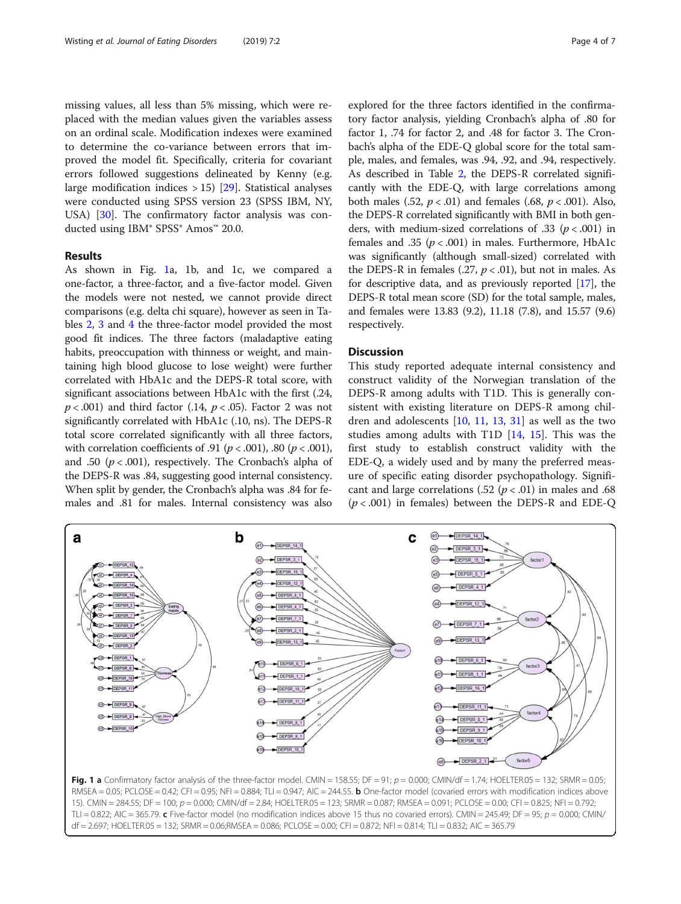missing values, all less than 5% missing, which were replaced with the median values given the variables assess on an ordinal scale. Modification indexes were examined to determine the co-variance between errors that improved the model fit. Specifically, criteria for covariant errors followed suggestions delineated by Kenny (e.g. large modification indices  $> 15$  [\[29](#page-6-0)]. Statistical analyses were conducted using SPSS version 23 (SPSS IBM, NY, USA) [\[30](#page-6-0)]. The confirmatory factor analysis was conducted using IBM® SPSS® Amos™ 20.0.

# Results

As shown in Fig. 1a, 1b, and 1c, we compared a one-factor, a three-factor, and a five-factor model. Given the models were not nested, we cannot provide direct comparisons (e.g. delta chi square), however as seen in Tables [2](#page-4-0), [3](#page-4-0) and [4](#page-4-0) the three-factor model provided the most good fit indices. The three factors (maladaptive eating habits, preoccupation with thinness or weight, and maintaining high blood glucose to lose weight) were further correlated with HbA1c and the DEPS-R total score, with significant associations between HbA1c with the first (.24,  $p < .001$ ) and third factor (.14,  $p < .05$ ). Factor 2 was not significantly correlated with HbA1c (.10, ns). The DEPS-R total score correlated significantly with all three factors, with correlation coefficients of .91 ( $p < .001$ ), .80 ( $p < .001$ ), and .50 ( $p < .001$ ), respectively. The Cronbach's alpha of the DEPS-R was .84, suggesting good internal consistency. When split by gender, the Cronbach's alpha was .84 for females and .81 for males. Internal consistency was also

explored for the three factors identified in the confirmatory factor analysis, yielding Cronbach's alpha of .80 for factor 1, .74 for factor 2, and .48 for factor 3. The Cronbach's alpha of the EDE-Q global score for the total sample, males, and females, was .94, .92, and .94, respectively. As described in Table [2,](#page-4-0) the DEPS-R correlated significantly with the EDE-Q, with large correlations among both males (.52,  $p < .01$ ) and females (.68,  $p < .001$ ). Also, the DEPS-R correlated significantly with BMI in both genders, with medium-sized correlations of .33 ( $p < .001$ ) in females and .35 ( $p < .001$ ) in males. Furthermore, HbA1c was significantly (although small-sized) correlated with the DEPS-R in females  $(.27, p < .01)$ , but not in males. As for descriptive data, and as previously reported [\[17\]](#page-6-0), the DEPS-R total mean score (SD) for the total sample, males, and females were 13.83 (9.2), 11.18 (7.8), and 15.57 (9.6) respectively.

## **Discussion**

This study reported adequate internal consistency and construct validity of the Norwegian translation of the DEPS-R among adults with T1D. This is generally consistent with existing literature on DEPS-R among children and adolescents [\[10](#page-6-0), [11,](#page-6-0) [13](#page-6-0), [31](#page-6-0)] as well as the two studies among adults with T1D [\[14,](#page-6-0) [15](#page-6-0)]. This was the first study to establish construct validity with the EDE-Q, a widely used and by many the preferred measure of specific eating disorder psychopathology. Significant and large correlations (.52 ( $p < .01$ ) in males and .68  $(p < .001)$  in females) between the DEPS-R and EDE-Q



Fig. 1 a Confirmatory factor analysis of the three-factor model. CMIN = 158.55; DF = 91;  $p = 0.000$ ; CMIN/df = 1.74; HOELTER.05 = 132; SRMR = 0.05; RMSEA = 0.05; PCLOSE = 0.42; CFI = 0.95; NFI = 0.884; TLI = 0.947; AIC = 244.55. **b** One-factor model (covaried errors with modification indices above 15). CMIN = 284.55; DF = 100; p = 0.000; CMIN/df = 2.84; HOELTER.05 = 123; SRMR = 0.087; RMSEA = 0.091; PCLOSE = 0.00; CFI = 0.825; NFI = 0.792; TLI = 0.822; AIC = 365.79. c Five-factor model (no modification indices above 15 thus no covaried errors). CMIN = 245.49; DF = 95;  $p = 0.000$ ; CMIN/ df = 2.697; HOELTER.05 = 132; SRMR = 0.06;RMSEA = 0.086; PCLOSE = 0.00; CFI = 0.872; NFI = 0.814; TLI = 0.832; AIC = 365.79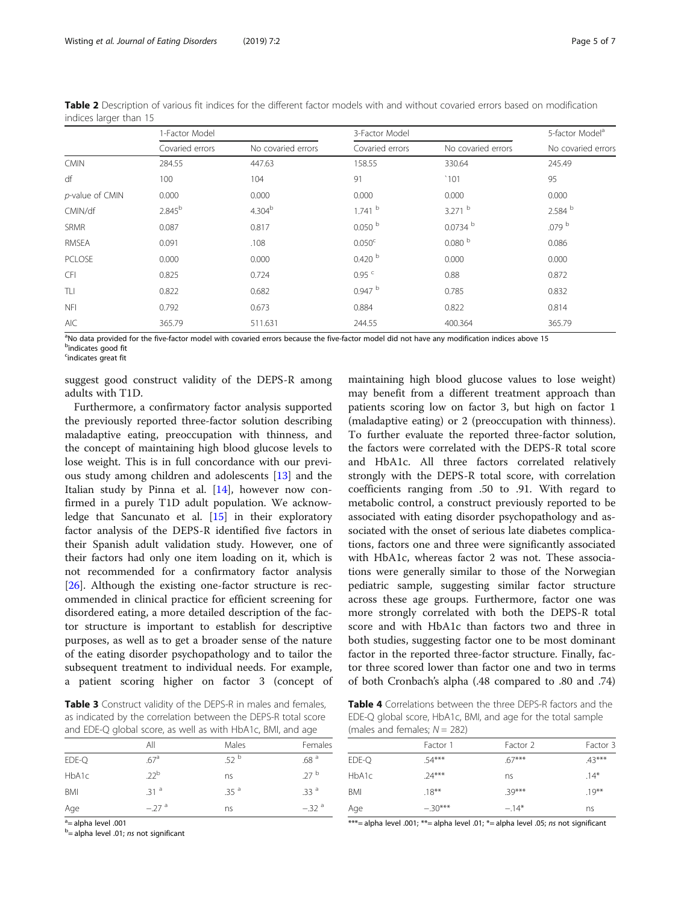| indices larger than 15 |                 |                    |                     |                    |                             |  |
|------------------------|-----------------|--------------------|---------------------|--------------------|-----------------------------|--|
|                        | 1-Factor Model  |                    | 3-Factor Model      |                    | 5-factor Model <sup>a</sup> |  |
|                        | Covaried errors | No covaried errors | Covaried errors     | No covaried errors | No covaried errors          |  |
| <b>CMIN</b>            | 284.55          | 447.63             | 158.55              | 330.64             | 245.49                      |  |
| df                     | 100             | 104                | 91                  | `101               | 95                          |  |
| p-value of CMIN        | 0.000           | 0.000              | 0.000               | 0.000              | 0.000                       |  |
| CMIN/df                | $2.845^{b}$     | 4.304 <sup>b</sup> | $1.741$ b           | $3.271$ b          | 2.584 b                     |  |
| <b>SRMR</b>            | 0.087           | 0.817              | 0.050 <sup>b</sup>  | $0.0734$ b         | .079 <sup>b</sup>           |  |
| RMSEA                  | 0.091           | .108               | 0.050 <sup>c</sup>  | 0.080 <sup>b</sup> | 0.086                       |  |
| PCLOSE                 | 0.000           | 0.000              | 0.420 <sup>b</sup>  | 0.000              | 0.000                       |  |
| <b>CFI</b>             | 0.825           | 0.724              | $0.95$ <sup>c</sup> | 0.88               | 0.872                       |  |
| TLI                    | 0.822           | 0.682              | 0.947 <sup>b</sup>  | 0.785              | 0.832                       |  |
| <b>NFI</b>             | 0.792           | 0.673              | 0.884               | 0.822              | 0.814                       |  |
| AIC                    | 365.79          | 511.631            | 244.55              | 400.364            | 365.79                      |  |
|                        |                 |                    |                     |                    |                             |  |

<span id="page-4-0"></span>Table 2 Description of various fit indices for the different factor models with and without covaried errors based on modification indices larger than 15

<sup>a</sup>No data provided for the five-factor model with covaried errors because the five-factor model did not have any modification indices above 15 <sup>b</sup>indicates good fit

<sup>c</sup>indicates great fit

suggest good construct validity of the DEPS-R among adults with T1D.

Furthermore, a confirmatory factor analysis supported the previously reported three-factor solution describing maladaptive eating, preoccupation with thinness, and the concept of maintaining high blood glucose levels to lose weight. This is in full concordance with our previous study among children and adolescents [\[13\]](#page-6-0) and the Italian study by Pinna et al. [\[14\]](#page-6-0), however now confirmed in a purely T1D adult population. We acknowledge that Sancunato et al. [\[15\]](#page-6-0) in their exploratory factor analysis of the DEPS-R identified five factors in their Spanish adult validation study. However, one of their factors had only one item loading on it, which is not recommended for a confirmatory factor analysis [[26\]](#page-6-0). Although the existing one-factor structure is recommended in clinical practice for efficient screening for disordered eating, a more detailed description of the factor structure is important to establish for descriptive purposes, as well as to get a broader sense of the nature of the eating disorder psychopathology and to tailor the subsequent treatment to individual needs. For example, a patient scoring higher on factor 3 (concept of

Table 3 Construct validity of the DEPS-R in males and females, as indicated by the correlation between the DEPS-R total score and EDE-Q global score, as well as with HbA1c, BMI, and age

|       | All              | Males            | Females          |
|-------|------------------|------------------|------------------|
| EDE-Q | .67 <sup>a</sup> | .52 <sup>b</sup> | .68 <sup>a</sup> |
| HbA1c | $22^{\rm b}$     | ns               | 27 <sup>b</sup>  |
| BMI   | .31 <sup>a</sup> | .35 <sup>a</sup> | .33 <sup>a</sup> |
| Age   | $-27a$           | ns               | $-32^{a}$        |

<sup>a</sup> = alpha level .001

<sup>b</sup>= alpha level .01; ns not significant

maintaining high blood glucose values to lose weight) may benefit from a different treatment approach than patients scoring low on factor 3, but high on factor 1 (maladaptive eating) or 2 (preoccupation with thinness). To further evaluate the reported three-factor solution, the factors were correlated with the DEPS-R total score and HbA1c. All three factors correlated relatively strongly with the DEPS-R total score, with correlation coefficients ranging from .50 to .91. With regard to metabolic control, a construct previously reported to be associated with eating disorder psychopathology and associated with the onset of serious late diabetes complications, factors one and three were significantly associated with HbA1c, whereas factor 2 was not. These associations were generally similar to those of the Norwegian pediatric sample, suggesting similar factor structure across these age groups. Furthermore, factor one was more strongly correlated with both the DEPS-R total score and with HbA1c than factors two and three in both studies, suggesting factor one to be most dominant factor in the reported three-factor structure. Finally, factor three scored lower than factor one and two in terms of both Cronbach's alpha (.48 compared to .80 and .74)

Table 4 Correlations between the three DEPS-R factors and the EDE-Q global score, HbA1c, BMI, and age for the total sample (males and females;  $N = 282$ )

|            | Factor 1 | Factor 2 | Factor 3 |
|------------|----------|----------|----------|
| EDE-Q      | $54***$  | 67***    | $.43***$ |
| HbA1c      | $74***$  | ns       | $.14*$   |
| <b>BMI</b> | $.18***$ | $39***$  | $.19***$ |
| Age        | $-30***$ | $-14*$   | ns       |

\*\*\*= alpha level .001; \*\*= alpha level .01; \*= alpha level .05; ns not significant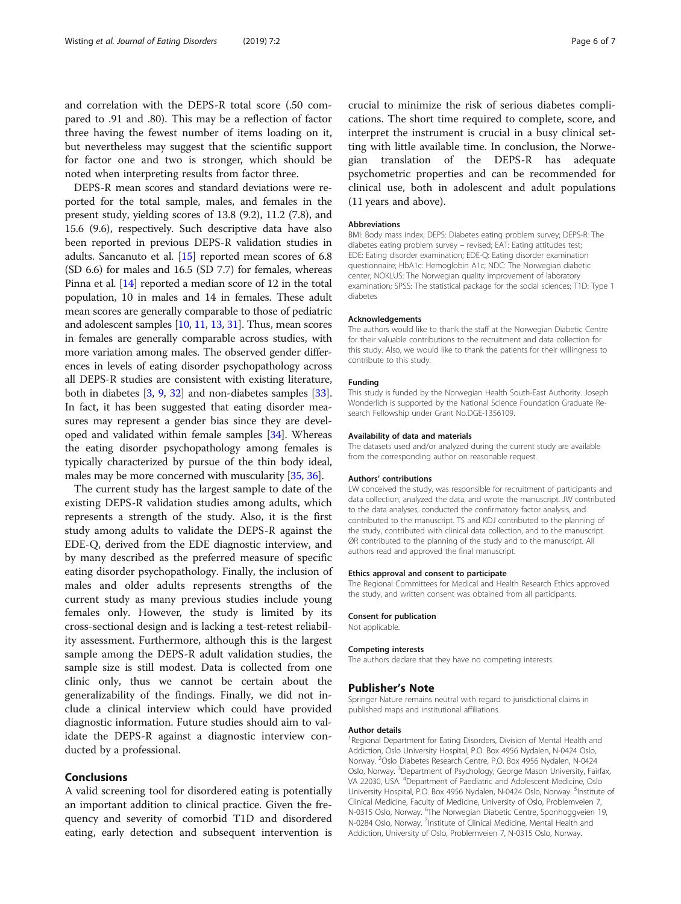and correlation with the DEPS-R total score (.50 compared to .91 and .80). This may be a reflection of factor three having the fewest number of items loading on it, but nevertheless may suggest that the scientific support for factor one and two is stronger, which should be noted when interpreting results from factor three.

DEPS-R mean scores and standard deviations were reported for the total sample, males, and females in the present study, yielding scores of 13.8 (9.2), 11.2 (7.8), and 15.6 (9.6), respectively. Such descriptive data have also been reported in previous DEPS-R validation studies in adults. Sancanuto et al. [[15](#page-6-0)] reported mean scores of 6.8 (SD 6.6) for males and 16.5 (SD 7.7) for females, whereas Pinna et al. [\[14](#page-6-0)] reported a median score of 12 in the total population, 10 in males and 14 in females. These adult mean scores are generally comparable to those of pediatric and adolescent samples [[10,](#page-6-0) [11,](#page-6-0) [13](#page-6-0), [31](#page-6-0)]. Thus, mean scores in females are generally comparable across studies, with more variation among males. The observed gender differences in levels of eating disorder psychopathology across all DEPS-R studies are consistent with existing literature, both in diabetes [\[3](#page-6-0), [9](#page-6-0), [32](#page-6-0)] and non-diabetes samples [[33](#page-6-0)]. In fact, it has been suggested that eating disorder measures may represent a gender bias since they are developed and validated within female samples [\[34](#page-6-0)]. Whereas the eating disorder psychopathology among females is typically characterized by pursue of the thin body ideal, males may be more concerned with muscularity [\[35,](#page-6-0) [36](#page-6-0)].

The current study has the largest sample to date of the existing DEPS-R validation studies among adults, which represents a strength of the study. Also, it is the first study among adults to validate the DEPS-R against the EDE-Q, derived from the EDE diagnostic interview, and by many described as the preferred measure of specific eating disorder psychopathology. Finally, the inclusion of males and older adults represents strengths of the current study as many previous studies include young females only. However, the study is limited by its cross-sectional design and is lacking a test-retest reliability assessment. Furthermore, although this is the largest sample among the DEPS-R adult validation studies, the sample size is still modest. Data is collected from one clinic only, thus we cannot be certain about the generalizability of the findings. Finally, we did not include a clinical interview which could have provided diagnostic information. Future studies should aim to validate the DEPS-R against a diagnostic interview conducted by a professional.

# Conclusions

A valid screening tool for disordered eating is potentially an important addition to clinical practice. Given the frequency and severity of comorbid T1D and disordered eating, early detection and subsequent intervention is crucial to minimize the risk of serious diabetes complications. The short time required to complete, score, and interpret the instrument is crucial in a busy clinical setting with little available time. In conclusion, the Norwegian translation of the DEPS-R has adequate psychometric properties and can be recommended for clinical use, both in adolescent and adult populations (11 years and above).

#### Abbreviations

BMI: Body mass index; DEPS: Diabetes eating problem survey; DEPS-R: The diabetes eating problem survey – revised; EAT: Eating attitudes test; EDE: Eating disorder examination; EDE-Q: Eating disorder examination questionnaire; HbA1c: Hemoglobin A1c; NDC: The Norwegian diabetic center; NOKLUS: The Norwegian quality improvement of laboratory examination; SPSS: The statistical package for the social sciences; T1D: Type 1 diabetes

#### Acknowledgements

The authors would like to thank the staff at the Norwegian Diabetic Centre for their valuable contributions to the recruitment and data collection for this study. Also, we would like to thank the patients for their willingness to contribute to this study.

## Funding

This study is funded by the Norwegian Health South-East Authority. Joseph Wonderlich is supported by the National Science Foundation Graduate Research Fellowship under Grant No.DGE-1356109.

#### Availability of data and materials

The datasets used and/or analyzed during the current study are available from the corresponding author on reasonable request.

#### Authors' contributions

LW conceived the study, was responsible for recruitment of participants and data collection, analyzed the data, and wrote the manuscript. JW contributed to the data analyses, conducted the confirmatory factor analysis, and contributed to the manuscript. TS and KDJ contributed to the planning of the study, contributed with clinical data collection, and to the manuscript. ØR contributed to the planning of the study and to the manuscript. All authors read and approved the final manuscript.

#### Ethics approval and consent to participate

The Regional Committees for Medical and Health Research Ethics approved the study, and written consent was obtained from all participants.

#### Consent for publication

Not applicable.

#### Competing interests

The authors declare that they have no competing interests.

#### Publisher's Note

Springer Nature remains neutral with regard to jurisdictional claims in published maps and institutional affiliations.

#### Author details

<sup>1</sup> Regional Department for Eating Disorders, Division of Mental Health and Addiction, Oslo University Hospital, P.O. Box 4956 Nydalen, N-0424 Oslo, Norway. <sup>2</sup>Oslo Diabetes Research Centre, P.O. Box 4956 Nydalen, N-0424 Oslo, Norway. <sup>3</sup>Department of Psychology, George Mason University, Fairfax VA 22030, USA. <sup>4</sup>Department of Paediatric and Adolescent Medicine, Oslo University Hospital, P.O. Box 4956 Nydalen, N-0424 Oslo, Norway. <sup>5</sup>Institute of Clinical Medicine, Faculty of Medicine, University of Oslo, Problemveien 7, N-0315 Oslo, Norway. <sup>6</sup>The Norwegian Diabetic Centre, Sponhoggveien 19,<br>N-0284 Oslo, Norway. <sup>7</sup>Institute of Clinical Medicine, Mental Health and Addiction, University of Oslo, Problemveien 7, N-0315 Oslo, Norway.